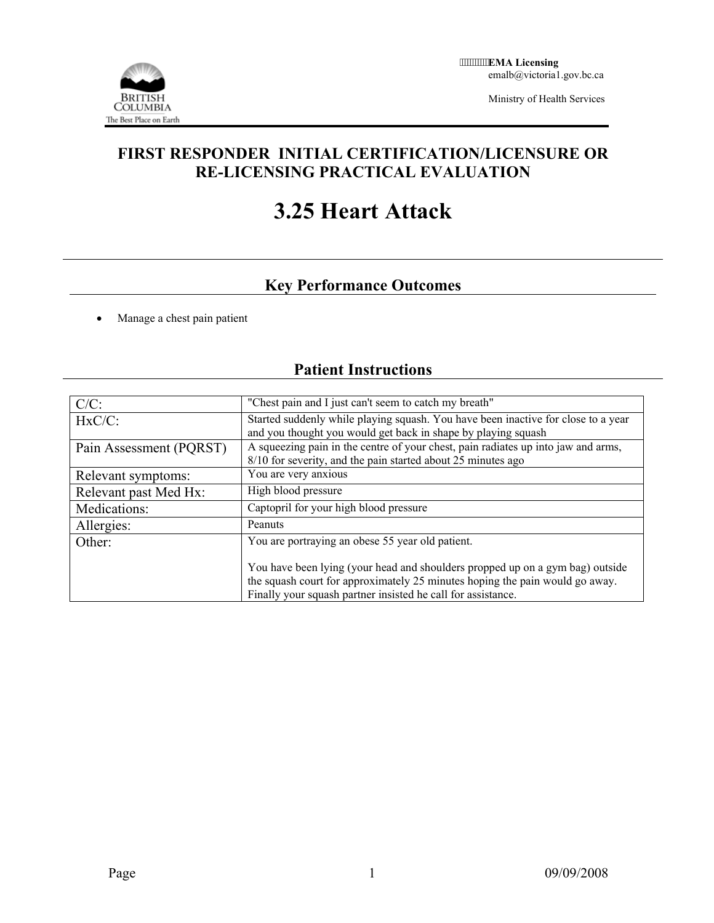

Ministry of Health Services

### **FIRST RESPONDER INITIAL CERTIFICATION/LICENSURE OR RE-LICENSING PRACTICAL EVALUATION**

# **3.25 Heart Attack**

## **Key Performance Outcomes**

• Manage a chest pain patient

# **Patient Instructions**

| $C/C$ :                 | "Chest pain and I just can't seem to catch my breath"                                                                                              |  |  |
|-------------------------|----------------------------------------------------------------------------------------------------------------------------------------------------|--|--|
| $HxC/C$ :               | Started suddenly while playing squash. You have been inactive for close to a year<br>and you thought you would get back in shape by playing squash |  |  |
| Pain Assessment (PQRST) | A squeezing pain in the centre of your chest, pain radiates up into jaw and arms,<br>8/10 for severity, and the pain started about 25 minutes ago  |  |  |
| Relevant symptoms:      | You are very anxious                                                                                                                               |  |  |
| Relevant past Med Hx:   | High blood pressure                                                                                                                                |  |  |
| Medications:            | Captopril for your high blood pressure                                                                                                             |  |  |
| Allergies:              | Peanuts                                                                                                                                            |  |  |
| Other:                  | You are portraying an obese 55 year old patient.                                                                                                   |  |  |
|                         | You have been lying (your head and shoulders propped up on a gym bag) outside                                                                      |  |  |
|                         | the squash court for approximately 25 minutes hoping the pain would go away.                                                                       |  |  |
|                         | Finally your squash partner insisted he call for assistance.                                                                                       |  |  |